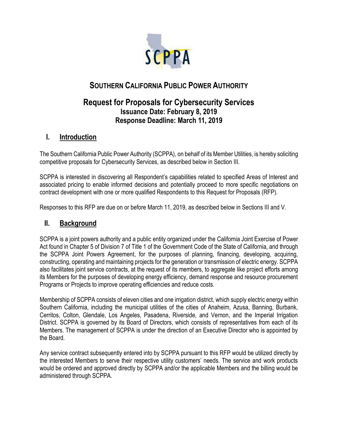

# **SOUTHERN CALIFORNIA PUBLIC POWER AUTHORITY**

# **Request for Proposals for Cybersecurity Services Issuance Date: February 8, 2019 Response Deadline: March 11, 2019**

## **I. Introduction**

The Southern California Public Power Authority (SCPPA), on behalf of its Member Utilities, is hereby soliciting competitive proposals for Cybersecurity Services, as described below in Section III.

SCPPA is interested in discovering all Respondent's capabilities related to specified Areas of Interest and associated pricing to enable informed decisions and potentially proceed to more specific negotiations on contract development with one or more qualified Respondents to this Request for Proposals (RFP).

Responses to this RFP are due on or before March 11, 2019, as described below in Sections III and V.

### **II. Background**

SCPPA is a joint powers authority and a public entity organized under the California Joint Exercise of Power Act found in Chapter 5 of Division 7 of Title 1 of the Government Code of the State of California, and through the SCPPA Joint Powers Agreement, for the purposes of planning, financing, developing, acquiring, constructing, operating and maintaining projects for the generation or transmission of electric energy. SCPPA also facilitates joint service contracts, at the request of its members, to aggregate like project efforts among its Members for the purposes of developing energy efficiency, demand response and resource procurement Programs or Projects to improve operating efficiencies and reduce costs.

Membership of SCPPA consists of eleven cities and one irrigation district, which supply electric energy within Southern California, including the municipal utilities of the cities of Anaheim, Azusa, Banning, Burbank, Cerritos, Colton, Glendale, Los Angeles, Pasadena, Riverside, and Vernon, and the Imperial Irrigation District. SCPPA is governed by its Board of Directors, which consists of representatives from each of its Members. The management of SCPPA is under the direction of an Executive Director who is appointed by the Board.

Any service contract subsequently entered into by SCPPA pursuant to this RFP would be utilized directly by the interested Members to serve their respective utility customers' needs. The service and work products would be ordered and approved directly by SCPPA and/or the applicable Members and the billing would be administered through SCPPA.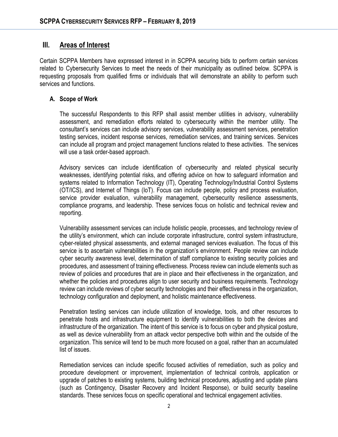### **III. Areas of Interest**

Certain SCPPA Members have expressed interest in in SCPPA securing bids to perform certain services related to Cybersecurity Services to meet the needs of their municipality as outlined below. SCPPA is requesting proposals from qualified firms or individuals that will demonstrate an ability to perform such services and functions.

#### **A. Scope of Work**

The successful Respondents to this RFP shall assist member utilities in advisory, vulnerability assessment, and remediation efforts related to cybersecurity within the member utility. The consultant's services can include advisory services, vulnerability assessment services, penetration testing services, incident response services, remediation services, and training services. Services can include all program and project management functions related to these activities. The services will use a task order-based approach.

Advisory services can include identification of cybersecurity and related physical security weaknesses, identifying potential risks, and offering advice on how to safeguard information and systems related to Information Technology (IT), Operating Technology/Industrial Control Systems (OT/ICS), and Internet of Things (IoT). Focus can include people, policy and process evaluation, service provider evaluation, vulnerability management, cybersecurity resilience assessments, compliance programs, and leadership. These services focus on holistic and technical review and reporting.

Vulnerability assessment services can include holistic people, processes, and technology review of the utility's environment, which can include corporate infrastructure, control system infrastructure, cyber-related physical assessments, and external managed services evaluation. The focus of this service is to ascertain vulnerabilities in the organization's environment. People review can include cyber security awareness level, determination of staff compliance to existing security policies and procedures, and assessment of training effectiveness. Process review can include elements such as review of policies and procedures that are in place and their effectiveness in the organization, and whether the policies and procedures align to user security and business requirements. Technology review can include reviews of cyber security technologies and their effectiveness in the organization, technology configuration and deployment, and holistic maintenance effectiveness.

Penetration testing services can include utilization of knowledge, tools, and other resources to penetrate hosts and infrastructure equipment to identify vulnerabilities to both the devices and infrastructure of the organization. The intent of this service is to focus on cyber and physical posture, as well as device vulnerability from an attack vector perspective both within and the outside of the organization. This service will tend to be much more focused on a goal, rather than an accumulated list of issues.

Remediation services can include specific focused activities of remediation, such as policy and procedure development or improvement, implementation of technical controls, application or upgrade of patches to existing systems, building technical procedures, adjusting and update plans (such as Contingency, Disaster Recovery and Incident Response), or build security baseline standards. These services focus on specific operational and technical engagement activities.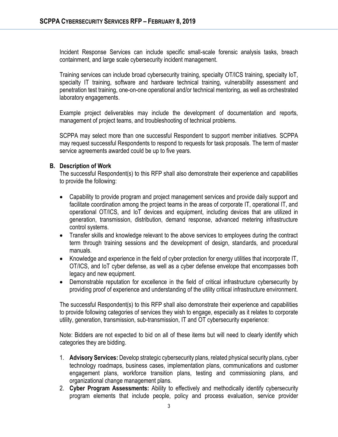Incident Response Services can include specific small-scale forensic analysis tasks, breach containment, and large scale cybersecurity incident management.

Training services can include broad cybersecurity training, specialty OT/ICS training, specialty IoT, specialty IT training, software and hardware technical training, vulnerability assessment and penetration test training, one-on-one operational and/or technical mentoring, as well as orchestrated laboratory engagements.

Example project deliverables may include the development of documentation and reports, management of project teams, and troubleshooting of technical problems.

SCPPA may select more than one successful Respondent to support member initiatives. SCPPA may request successful Respondents to respond to requests for task proposals. The term of master service agreements awarded could be up to five years.

#### **B. Description of Work**

The successful Respondent(s) to this RFP shall also demonstrate their experience and capabilities to provide the following:

- Capability to provide program and project management services and provide daily support and facilitate coordination among the project teams in the areas of corporate IT, operational IT, and operational OT/ICS, and IoT devices and equipment, including devices that are utilized in generation, transmission, distribution, demand response, advanced metering infrastructure control systems.
- Transfer skills and knowledge relevant to the above services to employees during the contract term through training sessions and the development of design, standards, and procedural manuals.
- Knowledge and experience in the field of cyber protection for energy utilities that incorporate IT, OT/ICS, and IoT cyber defense, as well as a cyber defense envelope that encompasses both legacy and new equipment.
- Demonstrable reputation for excellence in the field of critical infrastructure cybersecurity by providing proof of experience and understanding of the utility critical infrastructure environment.

The successful Respondent(s) to this RFP shall also demonstrate their experience and capabilities to provide following categories of services they wish to engage, especially as it relates to corporate utility, generation, transmission, sub-transmission, IT and OT cybersecurity experience:

Note: Bidders are not expected to bid on all of these items but will need to clearly identify which categories they are bidding.

- 1. **Advisory Services:** Develop strategic cybersecurity plans, related physical security plans, cyber technology roadmaps, business cases, implementation plans, communications and customer engagement plans, workforce transition plans, testing and commissioning plans, and organizational change management plans.
- 2. **Cyber Program Assessments:** Ability to effectively and methodically identify cybersecurity program elements that include people, policy and process evaluation, service provider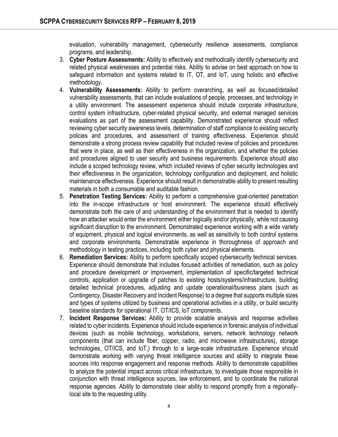evaluation, vulnerability management, cybersecurity resilience assessments, compliance programs, and leadership.

- 3. **Cyber Posture Assessments:** Ability to effectively and methodically identify cybersecurity and related physical weaknesses and potential risks. Ability to advise on best approach on how to safeguard information and systems related to IT, OT, and IoT, using holistic and effective methodology.
- 4. **Vulnerability Assessments:** Ability to perform overarching, as well as focused/detailed vulnerability assessments, that can include evaluations of people, processes, and technology in a utility environment. The assessment experience should include corporate infrastructure, control system infrastructure, cyber-related physical security, and external managed services evaluations as part of the assessment capability. Demonstrated experience should reflect reviewing cyber security awareness levels, determination of staff compliance to existing security policies and procedures, and assessment of training effectiveness. Experience should demonstrate a strong process review capability that included review of policies and procedures that were in place, as well as their effectiveness in the organization, and whether the policies and procedures aligned to user security and business requirements. Experience should also include a scoped technology review, which included reviews of cyber security technologies and their effectiveness in the organization, technology configuration and deployment, and holistic maintenance effectiveness. Experience should result in demonstrable ability to present resulting materials in both a consumable and auditable fashion.
- 5. **Penetration Testing Services:** Ability to perform a comprehensive goal-oriented penetration into the in-scope infrastructure or host environment. The experience should effectively demonstrate both the care of and understanding of the environment that is needed to identify how an attacker would enter the environment either logically and/or physically, while not causing significant disruption to the environment. Demonstrated experience working with a wide variety of equipment, physical and logical environments, as well as sensitivity to both control systems and corporate environments. Demonstrable experience in thoroughness of approach and methodology in testing practices, including both cyber and physical elements.
- 6. **Remediation Services:** Ability to perform specifically scoped cybersecurity technical services. Experience should demonstrate that includes focused activities of remediation, such as policy and procedure development or improvement, implementation of specific/targeted technical controls, application or upgrade of patches to existing hosts/systems/infrastructure, building detailed technical procedures, adjusting and update operational/business plans (such as Contingency, Disaster Recovery and Incident Response) to a degree that supports multiple sizes and types of systems utilized by business and operational activities in a utility, or build security baseline standards for operational IT, OT/ICS, IoT components.
- 7. **Incident Response Services:** Ability to provide scalable analysis and response activities related to cyber incidents. Experience should include experience in forensic analysis of individual devices (such as mobile technology, workstations, servers, network technology network components (that can include fiber, copper, radio, and microwave infrastructures), storage technologies, OT/ICS, and IoT,) through to a large-scale infrastructure. Experience should demonstrate working with varying threat intelligence sources and ability to integrate these sources into response engagement and response methods. Ability to demonstrate capabilities to analyze the potential impact across critical infrastructure, to investigate those responsible in conjunction with threat intelligence sources, law enforcement, and to coordinate the national response agencies. Ability to demonstrate clear ability to respond promptly from a regionallylocal site to the requesting utility.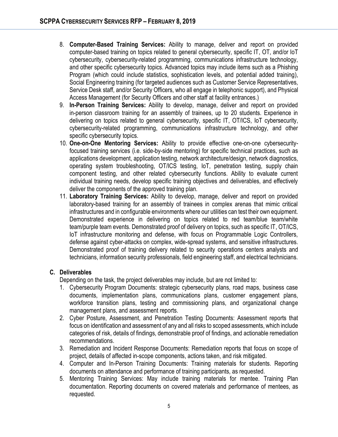- 8. **Computer-Based Training Services:** Ability to manage, deliver and report on provided computer-based training on topics related to general cybersecurity, specific IT, OT, and/or IoT cybersecurity, cybersecurity-related programming, communications infrastructure technology, and other specific cybersecurity topics. Advanced topics may include items such as a Phishing Program (which could include statistics, sophistication levels, and potential added training), Social Engineering training (for targeted audiences such as Customer Service Representatives, Service Desk staff, and/or Security Officers, who all engage in telephonic support), and Physical Access Management (for Security Officers and other staff at facility entrances.)
- 9. **In-Person Training Services:** Ability to develop, manage, deliver and report on provided in-person classroom training for an assembly of trainees, up to 20 students. Experience in delivering on topics related to general cybersecurity, specific IT, OT/ICS, IoT cybersecurity, cybersecurity-related programming, communications infrastructure technology, and other specific cybersecurity topics.
- 10. **One-on-One Mentoring Services:** Ability to provide effective one-on-one cybersecurityfocused training services (i.e. side-by-side mentoring) for specific technical practices, such as applications development, application testing, network architecture/design, network diagnostics, operating system troubleshooting, OT/ICS testing, IoT, penetration testing, supply chain component testing, and other related cybersecurity functions. Ability to evaluate current individual training needs, develop specific training objectives and deliverables, and effectively deliver the components of the approved training plan.
- 11. **Laboratory Training Services:** Ability to develop, manage, deliver and report on provided laboratory-based training for an assembly of trainees in complex arenas that mimic critical infrastructures and in configurable environments where our utilities can test their own equipment. Demonstrated experience in delivering on topics related to red team/blue team/white team/purple team events. Demonstrated proof of delivery on topics, such as specific IT, OT/ICS, IoT infrastructure monitoring and defense, with focus on Programmable Logic Controllers, defense against cyber-attacks on complex, wide-spread systems, and sensitive infrastructures. Demonstrated proof of training delivery related to security operations centers analysts and technicians, information security professionals, field engineering staff, and electrical technicians.

#### **C. Deliverables**

Depending on the task, the project deliverables may include, but are not limited to:

- 1. Cybersecurity Program Documents: strategic cybersecurity plans, road maps, business case documents, implementation plans, communications plans, customer engagement plans, workforce transition plans, testing and commissioning plans, and organizational change management plans, and assessment reports.
- 2. Cyber Posture, Assessment, and Penetration Testing Documents: Assessment reports that focus on identification and assessment of any and all risks to scoped assessments, which include categories of risk, details of findings, demonstrable proof of findings, and actionable remediation recommendations.
- 3. Remediation and Incident Response Documents: Remediation reports that focus on scope of project, details of affected in-scope components, actions taken, and risk mitigated.
- 4. Computer and In-Person Training Documents: Training materials for students. Reporting documents on attendance and performance of training participants, as requested.
- 5. Mentoring Training Services: May include training materials for mentee. Training Plan documentation. Reporting documents on covered materials and performance of mentees, as requested.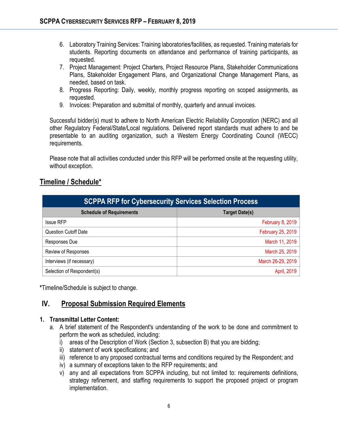- 6. Laboratory Training Services: Training laboratories/facilities, as requested. Training materials for students. Reporting documents on attendance and performance of training participants, as requested.
- 7. Project Management: Project Charters, Project Resource Plans, Stakeholder Communications Plans, Stakeholder Engagement Plans, and Organizational Change Management Plans, as needed, based on task.
- 8. Progress Reporting: Daily, weekly, monthly progress reporting on scoped assignments, as requested.
- 9. Invoices: Preparation and submittal of monthly, quarterly and annual invoices.

Successful bidder(s) must to adhere to North American Electric Reliability Corporation (NERC) and all other Regulatory Federal/State/Local regulations. Delivered report standards must adhere to and be presentable to an auditing organization, such a Western Energy Coordinating Council (WECC) requirements.

Please note that all activities conducted under this RFP will be performed onsite at the requesting utility, without exception.

### **Timeline / Schedule\***

| <b>SCPPA RFP for Cybersecurity Services Selection Process</b> |                       |
|---------------------------------------------------------------|-----------------------|
| <b>Schedule of Requirements</b>                               | <b>Target Date(s)</b> |
| <b>Issue RFP</b>                                              | February 8, 2019      |
| <b>Question Cutoff Date</b>                                   | February 25, 2019     |
| Responses Due                                                 | March 11, 2019        |
| Review of Responses                                           | March 25, 2019        |
| Interviews (if necessary)                                     | March 26-29, 2019     |
| Selection of Respondent(s)                                    | April, 2019           |

**\***Timeline/Schedule is subject to change.

### **IV. Proposal Submission Required Elements**

#### **1. Transmittal Letter Content:**

- a. A brief statement of the Respondent's understanding of the work to be done and commitment to perform the work as scheduled, including:
	- i) areas of the Description of Work (Section 3, subsection B) that you are bidding;
	- ii) statement of work specifications; and
	- iii) reference to any proposed contractual terms and conditions required by the Respondent; and
	- iv) a summary of exceptions taken to the RFP requirements; and
	- v) any and all expectations from SCPPA including, but not limited to: requirements definitions, strategy refinement, and staffing requirements to support the proposed project or program implementation.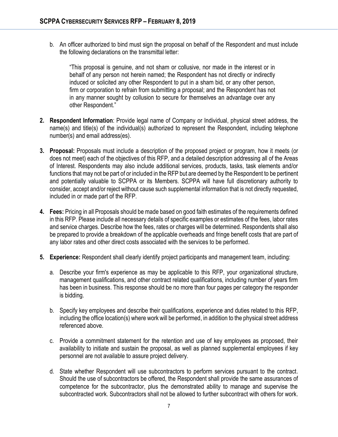b. An officer authorized to bind must sign the proposal on behalf of the Respondent and must include the following declarations on the transmittal letter:

"This proposal is genuine, and not sham or collusive, nor made in the interest or in behalf of any person not herein named; the Respondent has not directly or indirectly induced or solicited any other Respondent to put in a sham bid, or any other person, firm or corporation to refrain from submitting a proposal; and the Respondent has not in any manner sought by collusion to secure for themselves an advantage over any other Respondent."

- **2. Respondent Information**: Provide legal name of Company or Individual, physical street address, the name(s) and title(s) of the individual(s) authorized to represent the Respondent, including telephone number(s) and email address(es).
- **3. Proposal:** Proposals must include a description of the proposed project or program, how it meets (or does not meet) each of the objectives of this RFP, and a detailed description addressing all of the Areas of Interest. Respondents may also include additional services, products, tasks, task elements and/or functions that may not be part of or included in the RFP but are deemed by the Respondent to be pertinent and potentially valuable to SCPPA or its Members. SCPPA will have full discretionary authority to consider, accept and/or reject without cause such supplemental information that is not directly requested, included in or made part of the RFP.
- **4. Fees:** Pricing in all Proposals should be made based on good faith estimates of the requirements defined in this RFP. Please include all necessary details of specific examples or estimates of the fees, labor rates and service charges. Describe how the fees, rates or charges will be determined. Respondents shall also be prepared to provide a breakdown of the applicable overheads and fringe benefit costs that are part of any labor rates and other direct costs associated with the services to be performed.
- **5. Experience:** Respondent shall clearly identify project participants and management team, including:
	- a. Describe your firm's experience as may be applicable to this RFP, your organizational structure, management qualifications, and other contract related qualifications, including number of years firm has been in business. This response should be no more than four pages per category the responder is bidding.
	- b. Specify key employees and describe their qualifications, experience and duties related to this RFP, including the office location(s) where work will be performed, in addition to the physical street address referenced above.
	- c. Provide a commitment statement for the retention and use of key employees as proposed, their availability to initiate and sustain the proposal, as well as planned supplemental employees if key personnel are not available to assure project delivery.
	- d. State whether Respondent will use subcontractors to perform services pursuant to the contract. Should the use of subcontractors be offered, the Respondent shall provide the same assurances of competence for the subcontractor, plus the demonstrated ability to manage and supervise the subcontracted work. Subcontractors shall not be allowed to further subcontract with others for work.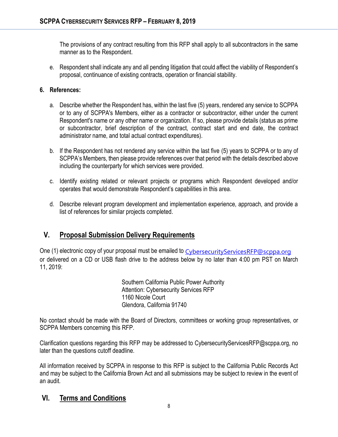The provisions of any contract resulting from this RFP shall apply to all subcontractors in the same manner as to the Respondent.

e. Respondent shall indicate any and all pending litigation that could affect the viability of Respondent's proposal, continuance of existing contracts, operation or financial stability.

#### **6. References:**

- a. Describe whether the Respondent has, within the last five (5) years, rendered any service to SCPPA or to any of SCPPA's Members, either as a contractor or subcontractor, either under the current Respondent's name or any other name or organization. If so, please provide details (status as prime or subcontractor, brief description of the contract, contract start and end date, the contract administrator name, and total actual contract expenditures).
- b. If the Respondent has not rendered any service within the last five (5) years to SCPPA or to any of SCPPA's Members, then please provide references over that period with the details described above including the counterparty for which services were provided.
- c. Identify existing related or relevant projects or programs which Respondent developed and/or operates that would demonstrate Respondent's capabilities in this area.
- d. Describe relevant program development and implementation experience, approach, and provide a list of references for similar projects completed.

## **V. Proposal Submission Delivery Requirements**

One (1) electronic copy of your proposal must be emailed to [CybersecurityServicesRFP@scppa.org](mailto:CybersecurityServicesRFP@scppa.org) or delivered on a CD or USB flash drive to the address below by no later than 4:00 pm PST on March 11, 2019:

> Southern California Public Power Authority Attention: Cybersecurity Services RFP 1160 Nicole Court Glendora, California 91740

No contact should be made with the Board of Directors, committees or working group representatives, or SCPPA Members concerning this RFP.

Clarification questions regarding this RFP may be addressed to CybersecurityServicesRFP@scppa.org, no later than the questions cutoff deadline.

All information received by SCPPA in response to this RFP is subject to the California Public Records Act and may be subject to the California Brown Act and all submissions may be subject to review in the event of an audit.

### **VI. Terms and Conditions**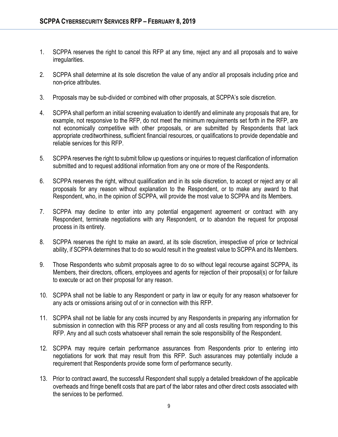- 1. SCPPA reserves the right to cancel this RFP at any time, reject any and all proposals and to waive irregularities.
- 2. SCPPA shall determine at its sole discretion the value of any and/or all proposals including price and non-price attributes.
- 3. Proposals may be sub-divided or combined with other proposals, at SCPPA's sole discretion.
- 4. SCPPA shall perform an initial screening evaluation to identify and eliminate any proposals that are, for example, not responsive to the RFP, do not meet the minimum requirements set forth in the RFP, are not economically competitive with other proposals, or are submitted by Respondents that lack appropriate creditworthiness, sufficient financial resources, or qualifications to provide dependable and reliable services for this RFP.
- 5. SCPPA reserves the right to submit follow up questions or inquiries to request clarification of information submitted and to request additional information from any one or more of the Respondents.
- 6. SCPPA reserves the right, without qualification and in its sole discretion, to accept or reject any or all proposals for any reason without explanation to the Respondent, or to make any award to that Respondent, who, in the opinion of SCPPA, will provide the most value to SCPPA and its Members.
- 7. SCPPA may decline to enter into any potential engagement agreement or contract with any Respondent, terminate negotiations with any Respondent, or to abandon the request for proposal process in its entirety.
- 8. SCPPA reserves the right to make an award, at its sole discretion, irrespective of price or technical ability, if SCPPA determines that to do so would result in the greatest value to SCPPA and its Members.
- 9. Those Respondents who submit proposals agree to do so without legal recourse against SCPPA, its Members, their directors, officers, employees and agents for rejection of their proposal(s) or for failure to execute or act on their proposal for any reason.
- 10. SCPPA shall not be liable to any Respondent or party in law or equity for any reason whatsoever for any acts or omissions arising out of or in connection with this RFP.
- 11. SCPPA shall not be liable for any costs incurred by any Respondents in preparing any information for submission in connection with this RFP process or any and all costs resulting from responding to this RFP. Any and all such costs whatsoever shall remain the sole responsibility of the Respondent.
- 12. SCPPA may require certain performance assurances from Respondents prior to entering into negotiations for work that may result from this RFP. Such assurances may potentially include a requirement that Respondents provide some form of performance security.
- 13. Prior to contract award, the successful Respondent shall supply a detailed breakdown of the applicable overheads and fringe benefit costs that are part of the labor rates and other direct costs associated with the services to be performed.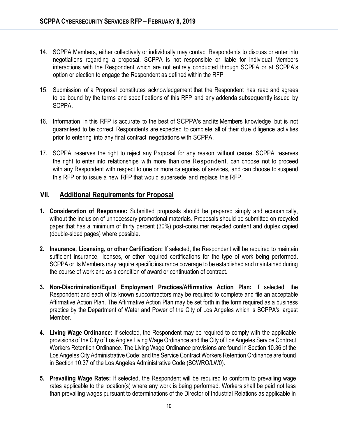- 14. SCPPA Members, either collectively or individually may contact Respondents to discuss or enter into negotiations regarding a proposal. SCPPA is not responsible or liable for individual Members interactions with the Respondent which are not entirely conducted through SCPPA or at SCPPA's option or election to engage the Respondent as defined within the RFP.
- 15. Submission of a Proposal constitutes acknowledgement that the Respondent has read and agrees to be bound by the terms and specifications of this RFP and any addenda subsequently issued by SCPPA.
- 16. Information in this RFP is accurate to the best of SCPPA's and its Members' knowledge but is not guaranteed to be correct. Respondents are expected to complete all of their due diligence activities prior to entering into any final contract negotiations with SCPPA.
- 17. SCPPA reserves the right to reject any Proposal for any reason without cause. SCPPA reserves the right to enter into relationships with more than one Respondent, can choose not to proceed with any Respondent with respect to one or more categories of services, and can choose to suspend this RFP or to issue a new RFP that would supersede and replace this RFP.

#### **VII. Additional Requirements for Proposal**

- **1. Consideration of Responses:** Submitted proposals should be prepared simply and economically, without the inclusion of unnecessary promotional materials. Proposals should be submitted on recycled paper that has a minimum of thirty percent (30%) post-consumer recycled content and duplex copied (double-sided pages) where possible.
- **2. Insurance, Licensing, or other Certification:** If selected, the Respondent will be required to maintain sufficient insurance, licenses, or other required certifications for the type of work being performed. SCPPA or its Members may require specific insurance coverage to be established and maintained during the course of work and as a condition of award or continuation of contract.
- **3. Non-Discrimination/Equal Employment Practices/Affirmative Action Plan:** If selected, the Respondent and each of its known subcontractors may be required to complete and file an acceptable Affirmative Action Plan. The Affirmative Action Plan may be set forth in the form required as a business practice by the Department of Water and Power of the City of Los Angeles which is SCPPA's largest Member.
- **4. Living Wage Ordinance:** If selected, the Respondent may be required to comply with the applicable provisions of the City of Los Angles Living Wage Ordinance and the City of Los Angeles Service Contract Workers Retention Ordinance. The Living Wage Ordinance provisions are found in Section 10.36 of the Los Angeles City Administrative Code; and the Service Contract Workers Retention Ordinance are found in Section 10.37 of the Los Angeles Administrative Code (SCWRO/LW0).
- **5. Prevailing Wage Rates:** If selected, the Respondent will be required to conform to prevailing wage rates applicable to the location(s) where any work is being performed. Workers shall be paid not less than prevailing wages pursuant to determinations of the Director of Industrial Relations as applicable in